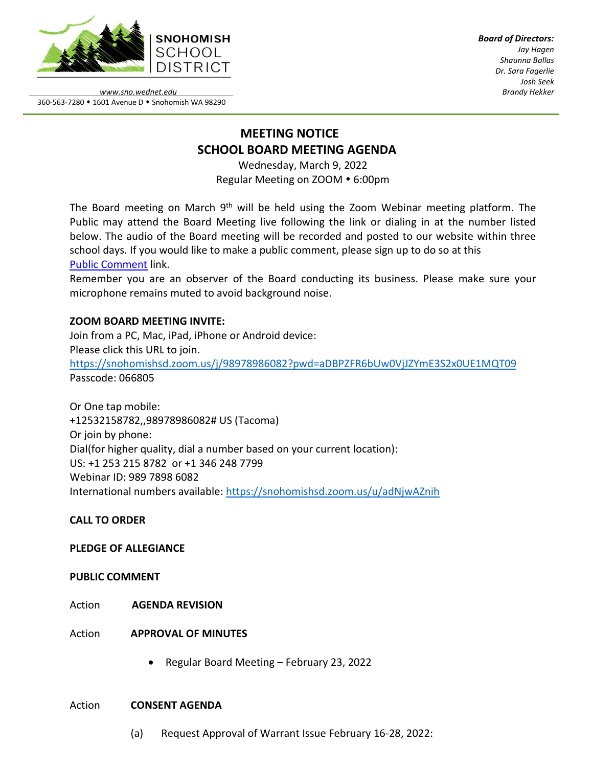

*Board of Directors: Jay Hagen Shaunna Ballas Dr. Sara Fagerlie Josh Seek Brandy Hekker*

*www.sno.wednet.edu* 360-563-7280 • 1601 Avenue D • Snohomish WA 98290

# **MEETING NOTICE SCHOOL BOARD MEETING AGENDA**

Wednesday, March 9, 2022 Regular Meeting on ZOOM . 6:00pm

The Board meeting on March 9<sup>th</sup> will be held using the Zoom Webinar meeting platform. The Public may attend the Board Meeting live following the link or dialing in at the number listed below. The audio of the Board meeting will be recorded and posted to our website within three school days. If you would like to make a public comment, please sign up to do so at this Public [Comment](https://www.sno.wednet.edu/site/Default.aspx?PageID=5004) link.

Remember you are an observer of the Board conducting its business. Please make sure your microphone remains muted to avoid background noise.

## **ZOOM BOARD MEETING INVITE:**

Join from a PC, Mac, iPad, iPhone or Android device: Please click this URL to join. <https://snohomishsd.zoom.us/j/98978986082?pwd=aDBPZFR6bUw0VjJZYmE3S2x0UE1MQT09> Passcode: 066805

Or One tap mobile: +12532158782,,98978986082# US (Tacoma) Or join by phone: Dial(for higher quality, dial a number based on your current location): US: +1 253 215 8782 or +1 346 248 7799 Webinar ID: 989 7898 6082 International numbers available:<https://snohomishsd.zoom.us/u/adNjwAZnih>

## **CALL TO ORDER**

## **PLEDGE OF ALLEGIANCE**

## **PUBLIC COMMENT**

- Action **AGENDA REVISION**
- Action **APPROVAL OF MINUTES**
	- Regular Board Meeting February 23, 2022

## Action **CONSENT AGENDA**

(a) Request Approval of Warrant Issue February 16-28, 2022: